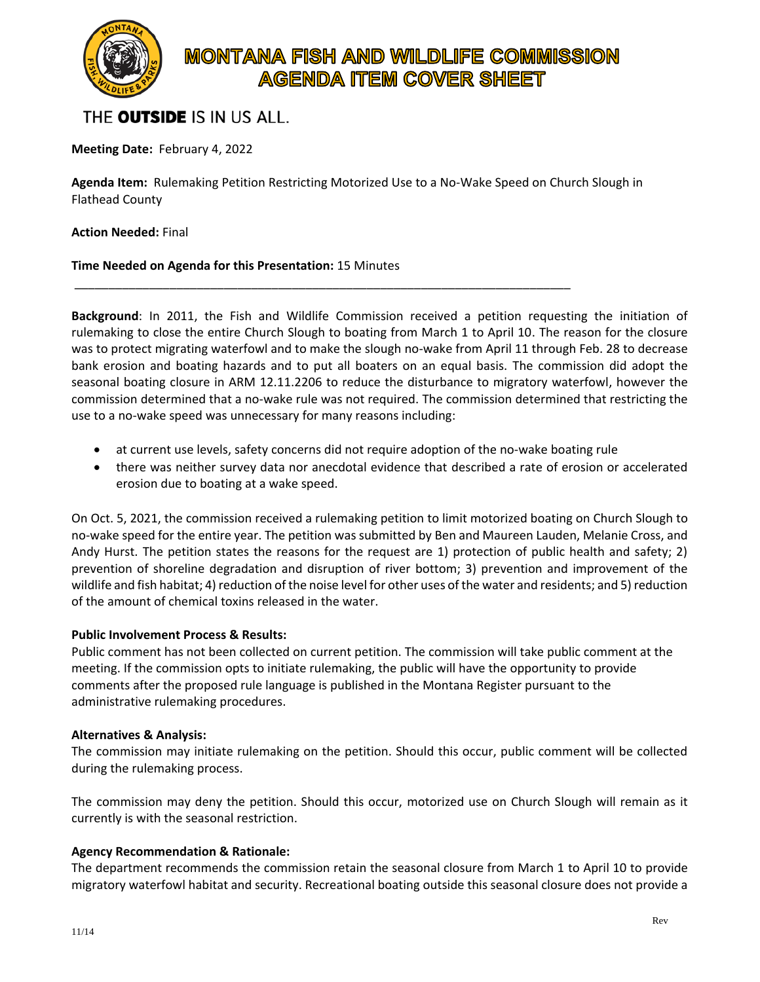

# **MONTANA FISH AND WILDLIFE COMMISSION AGENDA ITEM COVER SHEET**

# THE **OUTSIDE** IS IN US ALL.

**Meeting Date:** February 4, 2022

**Agenda Item:** Rulemaking Petition Restricting Motorized Use to a No-Wake Speed on Church Slough in Flathead County

\_\_\_\_\_\_\_\_\_\_\_\_\_\_\_\_\_\_\_\_\_\_\_\_\_\_\_\_\_\_\_\_\_\_\_\_\_\_\_\_\_\_\_\_\_\_\_\_\_\_\_\_\_\_\_\_\_\_\_\_\_\_\_\_\_\_\_\_\_\_\_\_\_

**Action Needed:** Final

### **Time Needed on Agenda for this Presentation:** 15 Minutes

**Background**: In 2011, the Fish and Wildlife Commission received a petition requesting the initiation of rulemaking to close the entire Church Slough to boating from March 1 to April 10. The reason for the closure was to protect migrating waterfowl and to make the slough no-wake from April 11 through Feb. 28 to decrease bank erosion and boating hazards and to put all boaters on an equal basis. The commission did adopt the seasonal boating closure in ARM 12.11.2206 to reduce the disturbance to migratory waterfowl, however the commission determined that a no-wake rule was not required. The commission determined that restricting the use to a no-wake speed was unnecessary for many reasons including:

- at current use levels, safety concerns did not require adoption of the no-wake boating rule
- there was neither survey data nor anecdotal evidence that described a rate of erosion or accelerated erosion due to boating at a wake speed.

On Oct. 5, 2021, the commission received a rulemaking petition to limit motorized boating on Church Slough to no-wake speed for the entire year. The petition was submitted by Ben and Maureen Lauden, Melanie Cross, and Andy Hurst. The petition states the reasons for the request are 1) protection of public health and safety; 2) prevention of shoreline degradation and disruption of river bottom; 3) prevention and improvement of the wildlife and fish habitat; 4) reduction of the noise level for other uses of the water and residents; and 5) reduction of the amount of chemical toxins released in the water.

#### **Public Involvement Process & Results:**

Public comment has not been collected on current petition. The commission will take public comment at the meeting. If the commission opts to initiate rulemaking, the public will have the opportunity to provide comments after the proposed rule language is published in the Montana Register pursuant to the administrative rulemaking procedures.

#### **Alternatives & Analysis:**

The commission may initiate rulemaking on the petition. Should this occur, public comment will be collected during the rulemaking process.

The commission may deny the petition. Should this occur, motorized use on Church Slough will remain as it currently is with the seasonal restriction.

#### **Agency Recommendation & Rationale:**

The department recommends the commission retain the seasonal closure from March 1 to April 10 to provide migratory waterfowl habitat and security. Recreational boating outside this seasonal closure does not provide a